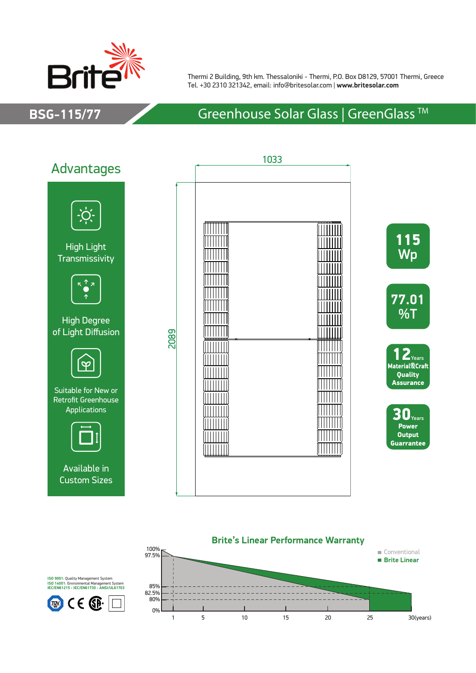

Thermi 2 Building, 9th km. Thessaloniki - Thermi, P.O. Box D8129, 57001 Thermi, Greece Tel. +30 2310 321342, email: info@britesolar.com | **www.britesolar.com**

## **BSG-115/77** Greenhouse Solar Glass | GreenGlass ™





**ISO 9001**: Quality Management System **ISO 14001**: Environmental Management System **IEC/EN61215 - IEC/EN61730 - ANSI/UL61703**